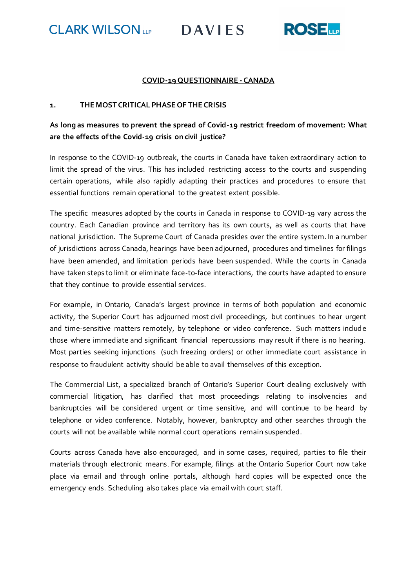**CLARK WILSON** 

**DAVIES** 



# **COVID-19 QUESTIONNAIRE - CANADA**

### **1. THE MOST CRITICAL PHASE OF THE CRISIS**

# **As long as measures to prevent the spread of Covid-19 restrict freedom of movement: What are the effects of the Covid-19 crisis on civil justice?**

In response to the COVID-19 outbreak, the courts in Canada have taken extraordinary action to limit the spread of the virus. This has included restricting access to the courts and suspending certain operations, while also rapidly adapting their practices and procedures to ensure that essential functions remain operational to the greatest extent possible.

The specific measures adopted by the courts in Canada in response to COVID-19 vary across the country. Each Canadian province and territory has its own courts, as well as courts that have national jurisdiction. The Supreme Court of Canada presides over the entire system. In a number of jurisdictions across Canada, hearings have been adjourned, procedures and timelines for filings have been amended, and limitation periods have been suspended. While the courts in Canada have taken steps to limit or eliminate face-to-face interactions, the courts have adapted to ensure that they continue to provide essential services.

For example, in Ontario, Canada's largest province in terms of both population and economic activity, the Superior Court has adjourned most civil proceedings, but continues to hear urgent and time-sensitive matters remotely, by telephone or video conference. Such matters includ e those where immediate and significant financial repercussions may result if there is no hearing. Most parties seeking injunctions (such freezing orders) or other immediate court assistance in response to fraudulent activity should be able to avail themselves of this exception.

The Commercial List, a specialized branch of Ontario's Superior Court dealing exclusively with commercial litigation, has clarified that most proceedings relating to insolvencies and bankruptcies will be considered urgent or time sensitive, and will continue to be heard by telephone or video conference. Notably, however, bankruptcy and other searches through the courts will not be available while normal court operations remain suspended.

Courts across Canada have also encouraged, and in some cases, required, parties to file their materials through electronic means. For example, filings at the Ontario Superior Court now take place via email and through online portals, although hard copies will be expected once the emergency ends. Scheduling also takes place via email with court staff.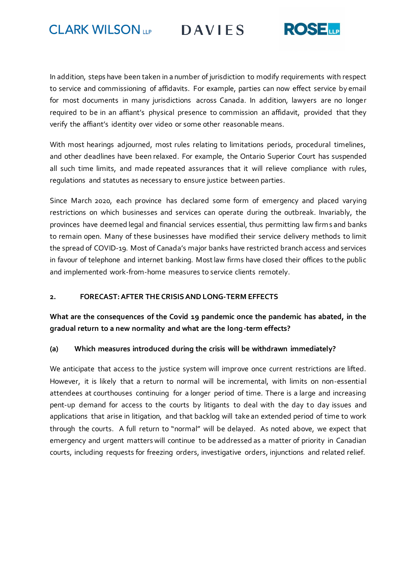**CLARK WILSON** 

**DAVIES** 



In addition, steps have been taken in a number of jurisdiction to modify requirements with respect to service and commissioning of affidavits. For example, parties can now effect service by email for most documents in many jurisdictions across Canada. In addition, lawyers are no longer required to be in an affiant's physical presence to commission an affidavit, provided that they verify the affiant's identity over video or some other reasonable means.

With most hearings adjourned, most rules relating to limitations periods, procedural timelines, and other deadlines have been relaxed. For example, the Ontario Superior Court has suspended all such time limits, and made repeated assurances that it will relieve compliance with rules, regulations and statutes as necessary to ensure justice between parties.

Since March 2020, each province has declared some form of emergency and placed varying restrictions on which businesses and services can operate during the outbreak. Invariably, the provinces have deemed legal and financial services essential, thus permitting law firms and banks to remain open. Many of these businesses have modified their service delivery methods to limit the spread of COVID-19. Most of Canada's major banks have restricted branch access and services in favour of telephone and internet banking. Mostlaw firms have closed their offices to the public and implemented work-from-home measures to service clients remotely.

#### **2. FORECAST: AFTER THE CRISIS AND LONG-TERM EFFECTS**

# **What are the consequences of the Covid 19 pandemic once the pandemic has abated, in the gradual return to a new normality and what are the long-term effects?**

# **(a) Which measures introduced during the crisis will be withdrawn immediately?**

We anticipate that access to the justice system will improve once current restrictions are lifted. However, it is likely that a return to normal will be incremental, with limits on non-essential attendees at courthouses continuing for a longer period of time. There is a large and increasing pent-up demand for access to the courts by litigants to deal with the day to day issues and applications that arise in litigation, and that backlog will take an extended period of time to work through the courts. A full return to "normal" will be delayed. As noted above, we expect that emergency and urgent matters will continue to be addressed as a matter of priority in Canadian courts, including requests for freezing orders, investigative orders, injunctions and related relief.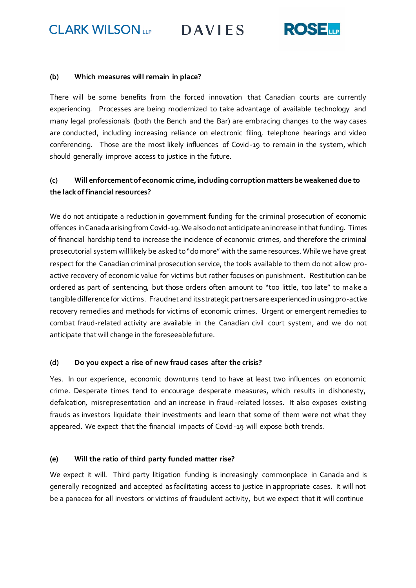**CLARK WILSON** 

**DAVIES** 



#### **(b) Which measures will remain in place?**

There will be some benefits from the forced innovation that Canadian courts are currently experiencing. Processes are being modernized to take advantage of available technology and many legal professionals (both the Bench and the Bar) are embracing changes to the way cases are conducted, including increasing reliance on electronic filing, telephone hearings and video conferencing. Those are the most likely influences of Covid-19 to remain in the system, which should generally improve access to justice in the future.

# **(c) Will enforcement of economic crime, including corruption matters be weakened due to the lack of financial resources?**

We do not anticipate a reduction in government funding for the criminal prosecution of economic offences in Canada arising from Covid-19. We also do not anticipate an increase in that funding. Times of financial hardship tend to increase the incidence of economic crimes, and therefore the criminal prosecutorial system will likely be asked to "do more" with the same resources. While we have great respect for the Canadian criminal prosecution service, the tools available to them do not allow proactive recovery of economic value for victims but rather focuses on punishment. Restitution can be ordered as part of sentencing, but those orders often amount to "too little, too late" to make a tangible difference for victims. Fraudnet and its strategic partners are experienced in using pro-active recovery remedies and methods for victims of economic crimes. Urgent or emergent remedies to combat fraud-related activity are available in the Canadian civil court system, and we do not anticipate that will change in the foreseeable future.

# **(d) Do you expect a rise of new fraud cases after the crisis?**

Yes. In our experience, economic downturns tend to have at least two influences on economic crime. Desperate times tend to encourage desperate measures, which results in dishonesty, defalcation, misrepresentation and an increase in fraud-related losses. It also exposes existing frauds as investors liquidate their investments and learn that some of them were not what they appeared. We expect that the financial impacts of Covid-19 will expose both trends.

# **(e) Will the ratio of third party funded matter rise?**

We expect it will. Third party litigation funding is increasingly commonplace in Canada and is generally recognized and accepted as facilitating access to justice in appropriate cases. It will not be a panacea for all investors or victims of fraudulent activity, but we expect that it will continue